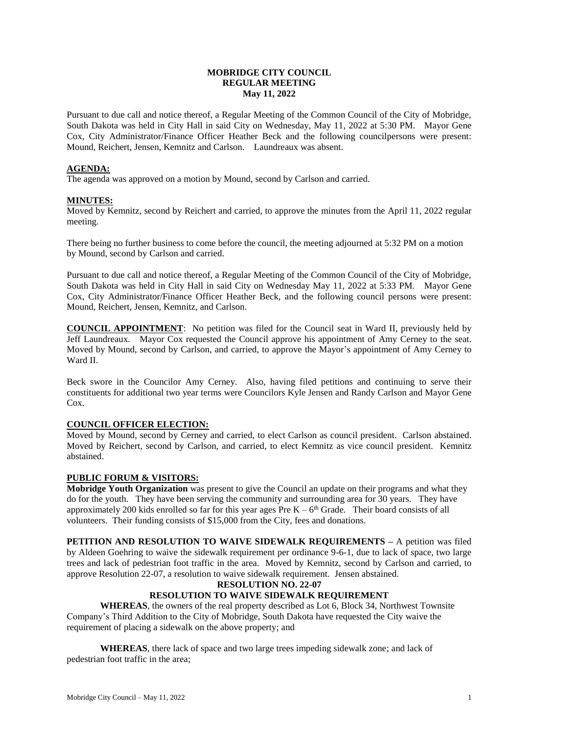# **MOBRIDGE CITY COUNCIL REGULAR MEETING May 11, 2022**

Pursuant to due call and notice thereof, a Regular Meeting of the Common Council of the City of Mobridge, South Dakota was held in City Hall in said City on Wednesday, May 11, 2022 at 5:30 PM. Mayor Gene Cox, City Administrator/Finance Officer Heather Beck and the following councilpersons were present: Mound, Reichert, Jensen, Kemnitz and Carlson. Laundreaux was absent.

# **AGENDA:**

The agenda was approved on a motion by Mound, second by Carlson and carried.

# **MINUTES:**

Moved by Kemnitz, second by Reichert and carried, to approve the minutes from the April 11, 2022 regular meeting.

There being no further business to come before the council, the meeting adjourned at 5:32 PM on a motion by Mound, second by Carlson and carried.

Pursuant to due call and notice thereof, a Regular Meeting of the Common Council of the City of Mobridge, South Dakota was held in City Hall in said City on Wednesday May 11, 2022 at 5:33 PM. Mayor Gene Cox, City Administrator/Finance Officer Heather Beck, and the following council persons were present: Mound, Reichert, Jensen, Kemnitz, and Carlson.

**COUNCIL APPOINTMENT**: No petition was filed for the Council seat in Ward II, previously held by Jeff Laundreaux. Mayor Cox requested the Council approve his appointment of Amy Cerney to the seat. Moved by Mound, second by Carlson, and carried, to approve the Mayor's appointment of Amy Cerney to Ward II.

Beck swore in the Councilor Amy Cerney. Also, having filed petitions and continuing to serve their constituents for additional two year terms were Councilors Kyle Jensen and Randy Carlson and Mayor Gene Cox.

# **COUNCIL OFFICER ELECTION:**

Moved by Mound, second by Cerney and carried, to elect Carlson as council president. Carlson abstained. Moved by Reichert, second by Carlson, and carried, to elect Kemnitz as vice council president. Kemnitz abstained.

# **PUBLIC FORUM & VISITORS:**

**Mobridge Youth Organization** was present to give the Council an update on their programs and what they do for the youth. They have been serving the community and surrounding area for 30 years. They have approximately 200 kids enrolled so far for this year ages Pre  $K - 6<sup>th</sup>$  Grade. Their board consists of all volunteers. Their funding consists of \$15,000 from the City, fees and donations.

**PETITION AND RESOLUTION TO WAIVE SIDEWALK REQUIREMENTS –** A petition was filed by Aldeen Goehring to waive the sidewalk requirement per ordinance 9-6-1, due to lack of space, two large trees and lack of pedestrian foot traffic in the area. Moved by Kemnitz, second by Carlson and carried, to approve Resolution 22-07, a resolution to waive sidewalk requirement. Jensen abstained.

# **RESOLUTION NO. 22-07**

# **RESOLUTION TO WAIVE SIDEWALK REQUIREMENT**

**WHEREAS**, the owners of the real property described as Lot 6, Block 34, Northwest Townsite Company's Third Addition to the City of Mobridge, South Dakota have requested the City waive the requirement of placing a sidewalk on the above property; and

**WHEREAS**, there lack of space and two large trees impeding sidewalk zone; and lack of pedestrian foot traffic in the area;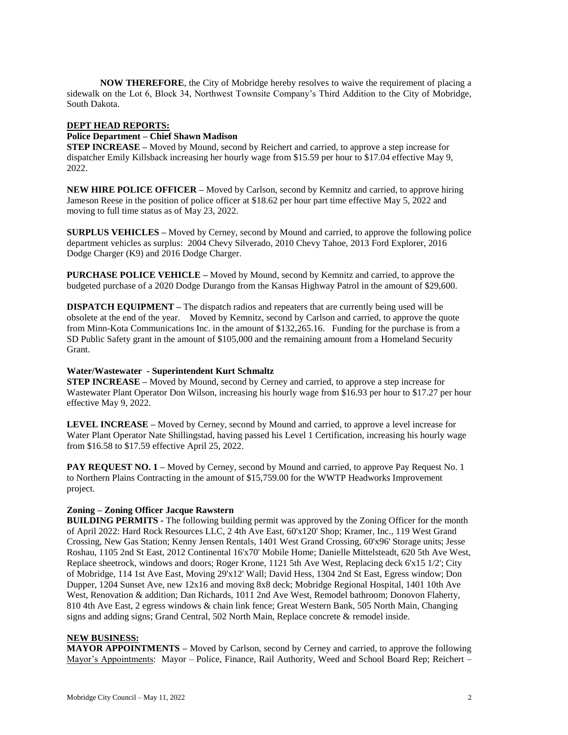**NOW THEREFORE**, the City of Mobridge hereby resolves to waive the requirement of placing a sidewalk on the Lot 6, Block 34, Northwest Townsite Company's Third Addition to the City of Mobridge, South Dakota.

## **DEPT HEAD REPORTS:**

### **Police Department – Chief Shawn Madison**

**STEP INCREASE –** Moved by Mound, second by Reichert and carried, to approve a step increase for dispatcher Emily Killsback increasing her hourly wage from \$15.59 per hour to \$17.04 effective May 9, 2022.

**NEW HIRE POLICE OFFICER –** Moved by Carlson, second by Kemnitz and carried, to approve hiring Jameson Reese in the position of police officer at \$18.62 per hour part time effective May 5, 2022 and moving to full time status as of May 23, 2022.

**SURPLUS VEHICLES –** Moved by Cerney, second by Mound and carried, to approve the following police department vehicles as surplus: 2004 Chevy Silverado, 2010 Chevy Tahoe, 2013 Ford Explorer, 2016 Dodge Charger (K9) and 2016 Dodge Charger.

**PURCHASE POLICE VEHICLE –** Moved by Mound, second by Kemnitz and carried, to approve the budgeted purchase of a 2020 Dodge Durango from the Kansas Highway Patrol in the amount of \$29,600.

**DISPATCH EQUIPMENT –** The dispatch radios and repeaters that are currently being used will be obsolete at the end of the year. Moved by Kemnitz, second by Carlson and carried, to approve the quote from Minn-Kota Communications Inc. in the amount of \$132,265.16. Funding for the purchase is from a SD Public Safety grant in the amount of \$105,000 and the remaining amount from a Homeland Security Grant.

#### **Water/Wastewater - Superintendent Kurt Schmaltz**

**STEP INCREASE –** Moved by Mound, second by Cerney and carried, to approve a step increase for Wastewater Plant Operator Don Wilson, increasing his hourly wage from \$16.93 per hour to \$17.27 per hour effective May 9, 2022.

**LEVEL INCREASE –** Moved by Cerney, second by Mound and carried, to approve a level increase for Water Plant Operator Nate Shillingstad, having passed his Level 1 Certification, increasing his hourly wage from \$16.58 to \$17.59 effective April 25, 2022.

**PAY REQUEST NO. 1** – Moved by Cerney, second by Mound and carried, to approve Pay Request No. 1 to Northern Plains Contracting in the amount of \$15,759.00 for the WWTP Headworks Improvement project.

# **Zoning – Zoning Officer Jacque Rawstern**

**BUILDING PERMITS -** The following building permit was approved by the Zoning Officer for the month of April 2022: Hard Rock Resources LLC, 2 4th Ave East, 60'x120' Shop; Kramer, Inc., 119 West Grand Crossing, New Gas Station; Kenny Jensen Rentals, 1401 West Grand Crossing, 60'x96' Storage units; Jesse Roshau, 1105 2nd St East, 2012 Continental 16'x70' Mobile Home; Danielle Mittelsteadt, 620 5th Ave West, Replace sheetrock, windows and doors; Roger Krone, 1121 5th Ave West, Replacing deck 6'x15 1/2'; City of Mobridge, 114 1st Ave East, Moving 29'x12' Wall; David Hess, 1304 2nd St East, Egress window; Don Dupper, 1204 Sunset Ave, new 12x16 and moving 8x8 deck; Mobridge Regional Hospital, 1401 10th Ave West, Renovation & addition; Dan Richards, 1011 2nd Ave West, Remodel bathroom; Donovon Flaherty, 810 4th Ave East, 2 egress windows & chain link fence; Great Western Bank, 505 North Main, Changing signs and adding signs; Grand Central, 502 North Main, Replace concrete & remodel inside.

# **NEW BUSINESS:**

**MAYOR APPOINTMENTS –** Moved by Carlson, second by Cerney and carried, to approve the following Mayor's Appointments: Mayor – Police, Finance, Rail Authority, Weed and School Board Rep; Reichert –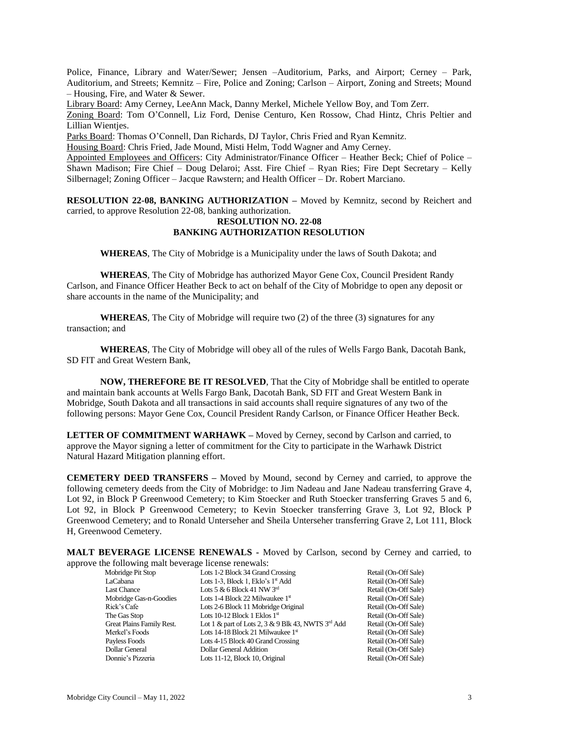Police, Finance, Library and Water/Sewer; Jensen –Auditorium, Parks, and Airport; Cerney – Park, Auditorium, and Streets; Kemnitz – Fire, Police and Zoning; Carlson – Airport, Zoning and Streets; Mound – Housing, Fire, and Water & Sewer.

Library Board: Amy Cerney, LeeAnn Mack, Danny Merkel, Michele Yellow Boy, and Tom Zerr.

Zoning Board: Tom O'Connell, Liz Ford, Denise Centuro, Ken Rossow, Chad Hintz, Chris Peltier and Lillian Wienties.

Parks Board: Thomas O'Connell, Dan Richards, DJ Taylor, Chris Fried and Ryan Kemnitz.

Housing Board: Chris Fried, Jade Mound, Misti Helm, Todd Wagner and Amy Cerney.

Appointed Employees and Officers: City Administrator/Finance Officer – Heather Beck; Chief of Police – Shawn Madison; Fire Chief – Doug Delaroi; Asst. Fire Chief – Ryan Ries; Fire Dept Secretary – Kelly Silbernagel; Zoning Officer – Jacque Rawstern; and Health Officer – Dr. Robert Marciano.

**RESOLUTION 22-08, BANKING AUTHORIZATION –** Moved by Kemnitz, second by Reichert and carried, to approve Resolution 22-08, banking authorization.

#### **RESOLUTION NO. 22-08 BANKING AUTHORIZATION RESOLUTION**

**WHEREAS**, The City of Mobridge is a Municipality under the laws of South Dakota; and

**WHEREAS**, The City of Mobridge has authorized Mayor Gene Cox, Council President Randy Carlson, and Finance Officer Heather Beck to act on behalf of the City of Mobridge to open any deposit or share accounts in the name of the Municipality; and

**WHEREAS**, The City of Mobridge will require two (2) of the three (3) signatures for any transaction; and

**WHEREAS**, The City of Mobridge will obey all of the rules of Wells Fargo Bank, Dacotah Bank, SD FIT and Great Western Bank,

**NOW, THEREFORE BE IT RESOLVED**, That the City of Mobridge shall be entitled to operate and maintain bank accounts at Wells Fargo Bank, Dacotah Bank, SD FIT and Great Western Bank in Mobridge, South Dakota and all transactions in said accounts shall require signatures of any two of the following persons: Mayor Gene Cox, Council President Randy Carlson, or Finance Officer Heather Beck.

**LETTER OF COMMITMENT WARHAWK –** Moved by Cerney, second by Carlson and carried, to approve the Mayor signing a letter of commitment for the City to participate in the Warhawk District Natural Hazard Mitigation planning effort.

**CEMETERY DEED TRANSFERS –** Moved by Mound, second by Cerney and carried, to approve the following cemetery deeds from the City of Mobridge: to Jim Nadeau and Jane Nadeau transferring Grave 4, Lot 92, in Block P Greenwood Cemetery; to Kim Stoecker and Ruth Stoecker transferring Graves 5 and 6, Lot 92, in Block P Greenwood Cemetery; to Kevin Stoecker transferring Grave 3, Lot 92, Block P Greenwood Cemetery; and to Ronald Unterseher and Sheila Unterseher transferring Grave 2, Lot 111, Block H, Greenwood Cemetery.

**MALT BEVERAGE LICENSE RENEWALS -** Moved by Carlson, second by Cerney and carried, to

| approve the following malt beverage license renewals: |                                                    |                      |
|-------------------------------------------------------|----------------------------------------------------|----------------------|
| Mobridge Pit Stop                                     | Lots 1-2 Block 34 Grand Crossing                   | Retail (On-Off Sale) |
| LaCabana                                              | Lots 1-3, Block 1, Eklo's 1 <sup>st</sup> Add      | Retail (On-Off Sale) |
| Last Chance                                           | Lots 5 & 6 Block 41 NW $3^{\text{rd}}$             | Retail (On-Off Sale) |
| Mobridge Gas-n-Goodies                                | Lots 1-4 Block 22 Milwaukee $1st$                  | Retail (On-Off Sale) |
| Rick's Cafe                                           | Lots 2-6 Block 11 Mobridge Original                | Retail (On-Off Sale) |
| The Gas Stop                                          | Lots 10-12 Block 1 Eklos $1st$                     | Retail (On-Off Sale) |
| Great Plains Family Rest.                             | Lot 1 & part of Lots 2, 3 & 9 Blk 43, NWTS 3rd Add | Retail (On-Off Sale) |
| Merkel's Foods                                        | Lots 14-18 Block 21 Milwaukee $1st$                | Retail (On-Off Sale) |
| Payless Foods                                         | Lots 4-15 Block 40 Grand Crossing                  | Retail (On-Off Sale) |
| Dollar General                                        | Dollar General Addition                            | Retail (On-Off Sale) |
| Donnie's Pizzeria                                     | Lots 11-12, Block 10, Original                     | Retail (On-Off Sale) |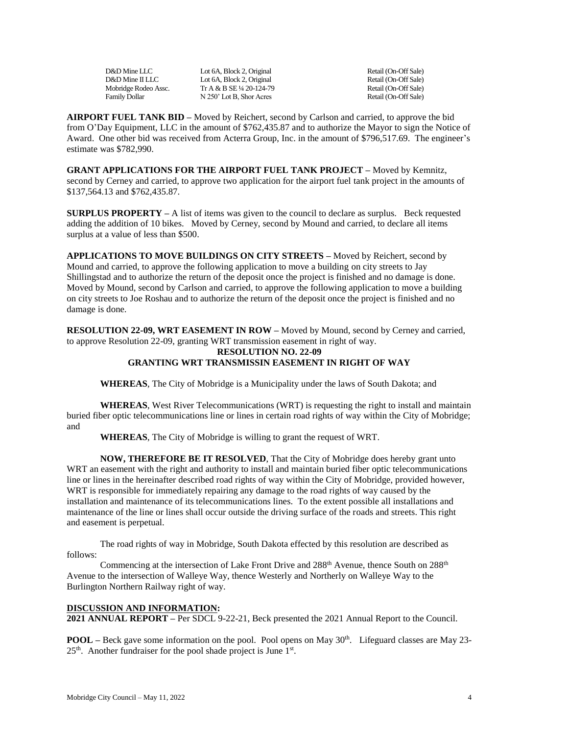D&D Mine LLC Lot 6A, Block 2, Original Retail (On-Off Sale)<br>
D&D Mine II LLC Lot 6A. Block 2. Original Retail (On-Off Sale) D&D Mine II LLC Lot 6A, Block 2, Original Retail (On-Off Sale) Mobridge Rodeo Assc. Tr A & B SE ¼ 20-124-79 Retail (On-Off Sale) Family Dollar N 250' Lot B, Shor Acres Retail (On-Off Sale)

**AIRPORT FUEL TANK BID –** Moved by Reichert, second by Carlson and carried, to approve the bid from O'Day Equipment, LLC in the amount of \$762,435.87 and to authorize the Mayor to sign the Notice of Award. One other bid was received from Acterra Group, Inc. in the amount of \$796,517.69. The engineer's estimate was \$782,990.

**GRANT APPLICATIONS FOR THE AIRPORT FUEL TANK PROJECT –** Moved by Kemnitz, second by Cerney and carried, to approve two application for the airport fuel tank project in the amounts of \$137,564.13 and \$762,435.87.

**SURPLUS PROPERTY** – A list of items was given to the council to declare as surplus. Beck requested adding the addition of 10 bikes. Moved by Cerney, second by Mound and carried, to declare all items surplus at a value of less than \$500.

**APPLICATIONS TO MOVE BUILDINGS ON CITY STREETS –** Moved by Reichert, second by Mound and carried, to approve the following application to move a building on city streets to Jay Shillingstad and to authorize the return of the deposit once the project is finished and no damage is done. Moved by Mound, second by Carlson and carried, to approve the following application to move a building on city streets to Joe Roshau and to authorize the return of the deposit once the project is finished and no damage is done.

**RESOLUTION 22-09, WRT EASEMENT IN ROW –** Moved by Mound, second by Cerney and carried, to approve Resolution 22-09, granting WRT transmission easement in right of way.

# **RESOLUTION NO. 22-09 GRANTING WRT TRANSMISSIN EASEMENT IN RIGHT OF WAY**

**WHEREAS**, The City of Mobridge is a Municipality under the laws of South Dakota; and

**WHEREAS**, West River Telecommunications (WRT) is requesting the right to install and maintain buried fiber optic telecommunications line or lines in certain road rights of way within the City of Mobridge; and

**WHEREAS**, The City of Mobridge is willing to grant the request of WRT.

**NOW, THEREFORE BE IT RESOLVED**, That the City of Mobridge does hereby grant unto WRT an easement with the right and authority to install and maintain buried fiber optic telecommunications line or lines in the hereinafter described road rights of way within the City of Mobridge, provided however, WRT is responsible for immediately repairing any damage to the road rights of way caused by the installation and maintenance of its telecommunications lines. To the extent possible all installations and maintenance of the line or lines shall occur outside the driving surface of the roads and streets. This right and easement is perpetual.

The road rights of way in Mobridge, South Dakota effected by this resolution are described as follows:

Commencing at the intersection of Lake Front Drive and 288<sup>th</sup> Avenue, thence South on 288<sup>th</sup> Avenue to the intersection of Walleye Way, thence Westerly and Northerly on Walleye Way to the Burlington Northern Railway right of way.

# **DISCUSSION AND INFORMATION:**

**2021 ANNUAL REPORT –** Per SDCL 9-22-21, Beck presented the 2021 Annual Report to the Council.

**POOL** – Beck gave some information on the pool. Pool opens on May 30<sup>th</sup>. Lifeguard classes are May 23- $25<sup>th</sup>$ . Another fundraiser for the pool shade project is June  $1<sup>st</sup>$ .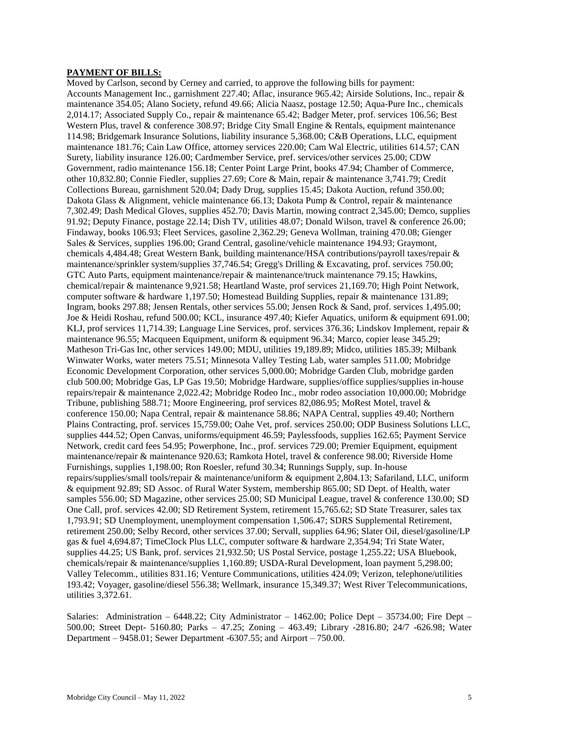# **PAYMENT OF BILLS:**

Moved by Carlson, second by Cerney and carried, to approve the following bills for payment: Accounts Management Inc., garnishment 227.40; Aflac, insurance 965.42; Airside Solutions, Inc., repair & maintenance 354.05; Alano Society, refund 49.66; Alicia Naasz, postage 12.50; Aqua-Pure Inc., chemicals 2,014.17; Associated Supply Co., repair & maintenance 65.42; Badger Meter, prof. services 106.56; Best Western Plus, travel & conference 308.97; Bridge City Small Engine & Rentals, equipment maintenance 114.98; Bridgemark Insurance Solutions, liability insurance 5,368.00; C&B Operations, LLC, equipment maintenance 181.76; Cain Law Office, attorney services 220.00; Cam Wal Electric, utilities 614.57; CAN Surety, liability insurance 126.00; Cardmember Service, pref. services/other services 25.00; CDW Government, radio maintenance 156.18; Center Point Large Print, books 47.94; Chamber of Commerce, other 10,832.80; Connie Fiedler, supplies 27.69; Core & Main, repair & maintenance 3,741.79; Credit Collections Bureau, garnishment 520.04; Dady Drug, supplies 15.45; Dakota Auction, refund 350.00; Dakota Glass & Alignment, vehicle maintenance 66.13; Dakota Pump & Control, repair & maintenance 7,302.49; Dash Medical Gloves, supplies 452.70; Davis Martin, mowing contract 2,345.00; Demco, supplies 91.92; Deputy Finance, postage 22.14; Dish TV, utilities 48.07; Donald Wilson, travel & conference 26.00; Findaway, books 106.93; Fleet Services, gasoline 2,362.29; Geneva Wollman, training 470.08; Gienger Sales & Services, supplies 196.00; Grand Central, gasoline/vehicle maintenance 194.93; Graymont, chemicals 4,484.48; Great Western Bank, building maintenance/HSA contributions/payroll taxes/repair & maintenance/sprinkler system/supplies 37,746.54; Gregg's Drilling & Excavating, prof. services 750.00; GTC Auto Parts, equipment maintenance/repair & maintenance/truck maintenance 79.15; Hawkins, chemical/repair & maintenance 9,921.58; Heartland Waste, prof services 21,169.70; High Point Network, computer software & hardware 1,197.50; Homestead Building Supplies, repair & maintenance 131.89; Ingram, books 297.88; Jensen Rentals, other services 55.00; Jensen Rock & Sand, prof. services 1,495.00; Joe & Heidi Roshau, refund 500.00; KCL, insurance 497.40; Kiefer Aquatics, uniform & equipment 691.00; KLJ, prof services 11,714.39; Language Line Services, prof. services 376.36; Lindskov Implement, repair & maintenance 96.55; Macqueen Equipment, uniform & equipment 96.34; Marco, copier lease 345.29; Matheson Tri-Gas Inc, other services 149.00; MDU, utilities 19,189.89; Midco, utilities 185.39; Milbank Winwater Works, water meters 75.51; Minnesota Valley Testing Lab, water samples 511.00; Mobridge Economic Development Corporation, other services 5,000.00; Mobridge Garden Club, mobridge garden club 500.00; Mobridge Gas, LP Gas 19.50; Mobridge Hardware, supplies/office supplies/supplies in-house repairs/repair & maintenance 2,022.42; Mobridge Rodeo Inc., mobr rodeo association 10,000.00; Mobridge Tribune, publishing 588.71; Moore Engineering, prof services 82,086.95; MoRest Motel, travel & conference 150.00; Napa Central, repair & maintenance 58.86; NAPA Central, supplies 49.40; Northern Plains Contracting, prof. services 15,759.00; Oahe Vet, prof. services 250.00; ODP Business Solutions LLC, supplies 444.52; Open Canvas, uniforms/equipment 46.59; Paylessfoods, supplies 162.65; Payment Service Network, credit card fees 54.95; Powerphone, Inc., prof. services 729.00; Premier Equipment, equipment maintenance/repair & maintenance 920.63; Ramkota Hotel, travel & conference 98.00; Riverside Home Furnishings, supplies 1,198.00; Ron Roesler, refund 30.34; Runnings Supply, sup. In-house repairs/supplies/small tools/repair & maintenance/uniform & equipment 2,804.13; Safariland, LLC, uniform & equipment 92.89; SD Assoc. of Rural Water System, membership 865.00; SD Dept. of Health, water samples 556.00; SD Magazine, other services 25.00; SD Municipal League, travel & conference 130.00; SD One Call, prof. services 42.00; SD Retirement System, retirement 15,765.62; SD State Treasurer, sales tax 1,793.91; SD Unemployment, unemployment compensation 1,506.47; SDRS Supplemental Retirement, retirement 250.00; Selby Record, other services 37.00; Servall, supplies 64.96; Slater Oil, diesel/gasoline/LP gas & fuel 4,694.87; TimeClock Plus LLC, computer software & hardware 2,354.94; Tri State Water, supplies 44.25; US Bank, prof. services 21,932.50; US Postal Service, postage 1,255.22; USA Bluebook, chemicals/repair & maintenance/supplies 1,160.89; USDA-Rural Development, loan payment 5,298.00; Valley Telecomm., utilities 831.16; Venture Communications, utilities 424.09; Verizon, telephone/utilities 193.42; Voyager, gasoline/diesel 556.38; Wellmark, insurance 15,349.37; West River Telecommunications, utilities 3,372.61.

Salaries: Administration – 6448.22; City Administrator – 1462.00; Police Dept – 35734.00; Fire Dept – 500.00; Street Dept- 5160.80; Parks – 47.25; Zoning – 463.49; Library -2816.80; 24/7 -626.98; Water Department – 9458.01; Sewer Department -6307.55; and Airport – 750.00.